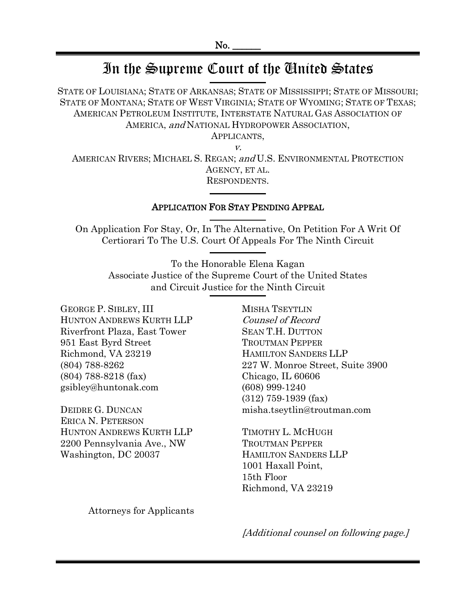# In the Supreme Court of the United States

STATE OF LOUISIANA; STATE OF ARKANSAS; STATE OF MISSISSIPPI; STATE OF MISSOURI; STATE OF MONTANA; STATE OF WEST VIRGINIA; STATE OF WYOMING; STATE OF TEXAS; AMERICAN PETROLEUM INSTITUTE, INTERSTATE NATURAL GAS ASSOCIATION OF AMERICA, and NATIONAL HYDROPOWER ASSOCIATION,

APPLICANTS,

v. AMERICAN RIVERS; MICHAEL S. REGAN; and U.S. ENVIRONMENTAL PROTECTION AGENCY, ET AL. RESPONDENTS.

### APPLICATION FOR STAY PENDING APPEAL

On Application For Stay, Or, In The Alternative, On Petition For A Writ Of Certiorari To The U.S. Court Of Appeals For The Ninth Circuit

To the Honorable Elena Kagan Associate Justice of the Supreme Court of the United States and Circuit Justice for the Ninth Circuit

GEORGE P. SIBLEY, III HUNTON ANDREWS KURTH LLP Riverfront Plaza, East Tower 951 East Byrd Street Richmond, VA 23219 (804) 788-8262 (804) 788-8218 (fax) gsibley@huntonak.com

DEIDRE G. DUNCAN ERICA N. PETERSON HUNTON ANDREWS KURTH LLP 2200 Pennsylvania Ave., NW Washington, DC 20037

MISHA TSEYTLIN Counsel of Record SEAN T.H. DUTTON TROUTMAN PEPPER HAMILTON SANDERS LLP 227 W. Monroe Street, Suite 3900 Chicago, IL 60606 (608) 999-1240 (312) 759-1939 (fax) misha.tseytlin@troutman.com

TIMOTHY L. MCHUGH TROUTMAN PEPPER HAMILTON SANDERS LLP 1001 Haxall Point, 15th Floor Richmond, VA 23219

Attorneys for Applicants

[Additional counsel on following page.]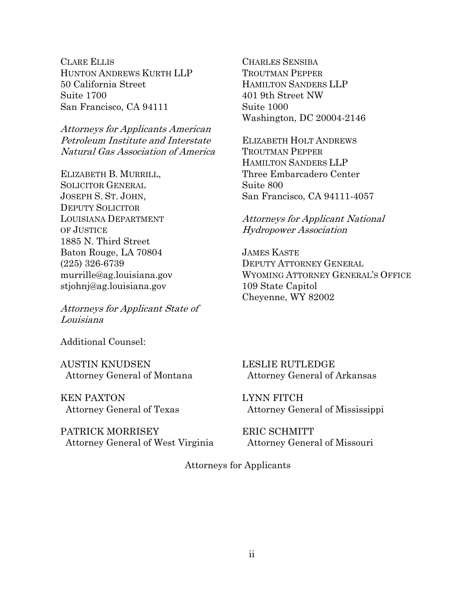CLARE ELLIS HUNTON ANDREWS KURTH LLP 50 California Street Suite 1700 San Francisco, CA 94111

Attorneys for Applicants American Petroleum Institute and Interstate Natural Gas Association of America

ELIZABETH B. MURRILL, SOLICITOR GENERAL JOSEPH S. ST. JOHN, DEPUTY SOLICITOR LOUISIANA DEPARTMENT OF JUSTICE 1885 N. Third Street Baton Rouge, LA 70804 (225) 326-6739 murrille@ag.louisiana.gov stjohnj@ag.louisiana.gov

Attorneys for Applicant State of Louisiana

Additional Counsel:

AUSTIN KNUDSEN Attorney General of Montana

KEN PAXTON Attorney General of Texas

PATRICK MORRISEY Attorney General of West Virginia

CHARLES SENSIBA TROUTMAN PEPPER HAMILTON SANDERS LLP 401 9th Street NW Suite 1000 Washington, DC 20004-2146

ELIZABETH HOLT ANDREWS TROUTMAN PEPPER HAMILTON SANDERS LLP Three Embarcadero Center Suite 800 San Francisco, CA 94111-4057

## Attorneys for Applicant National Hydropower Association

JAMES KASTE DEPUTY ATTORNEY GENERAL WYOMING ATTORNEY GENERAL'S OFFICE 109 State Capitol Cheyenne, WY 82002

LESLIE RUTLEDGE Attorney General of Arkansas

LYNN FITCH Attorney General of Mississippi

ERIC SCHMITT Attorney General of Missouri

Attorneys for Applicants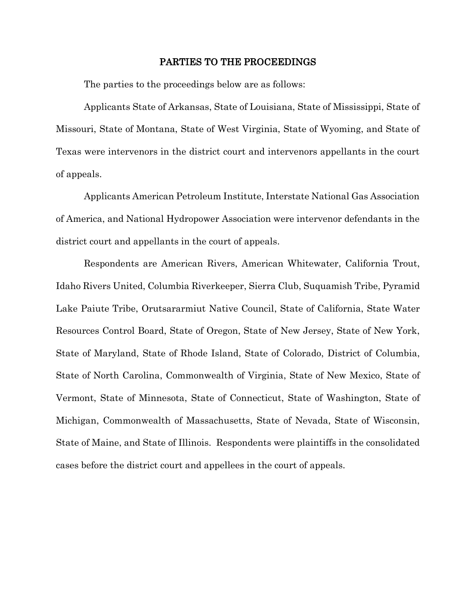#### PARTIES TO THE PROCEEDINGS

The parties to the proceedings below are as follows:

Applicants State of Arkansas, State of Louisiana, State of Mississippi, State of Missouri, State of Montana, State of West Virginia, State of Wyoming, and State of Texas were intervenors in the district court and intervenors appellants in the court of appeals.

Applicants American Petroleum Institute, Interstate National Gas Association of America, and National Hydropower Association were intervenor defendants in the district court and appellants in the court of appeals.

Respondents are American Rivers, American Whitewater, California Trout, Idaho Rivers United, Columbia Riverkeeper, Sierra Club, Suquamish Tribe, Pyramid Lake Paiute Tribe, Orutsararmiut Native Council, State of California, State Water Resources Control Board, State of Oregon, State of New Jersey, State of New York, State of Maryland, State of Rhode Island, State of Colorado, District of Columbia, State of North Carolina, Commonwealth of Virginia, State of New Mexico, State of Vermont, State of Minnesota, State of Connecticut, State of Washington, State of Michigan, Commonwealth of Massachusetts, State of Nevada, State of Wisconsin, State of Maine, and State of Illinois. Respondents were plaintiffs in the consolidated cases before the district court and appellees in the court of appeals.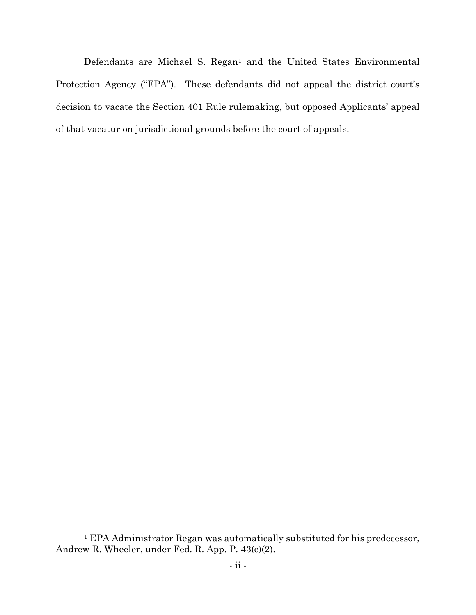Defendants are Michael S. Regan<sup>1</sup> and the United States Environmental Protection Agency ("EPA"). These defendants did not appeal the district court's decision to vacate the Section 401 Rule rulemaking, but opposed Applicants' appeal of that vacatur on jurisdictional grounds before the court of appeals.

<sup>1</sup> EPA Administrator Regan was automatically substituted for his predecessor, Andrew R. Wheeler, under Fed. R. App. P. 43(c)(2).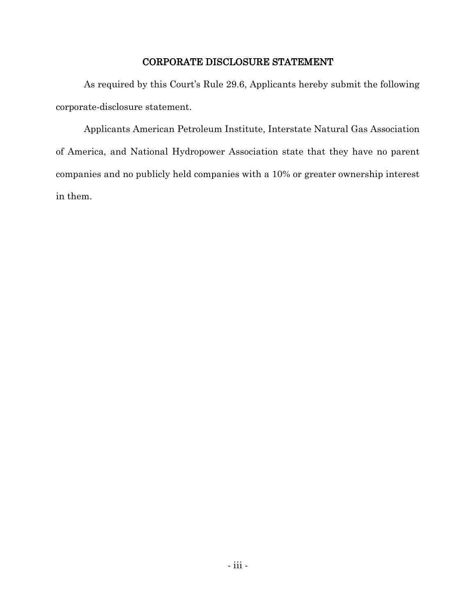## CORPORATE DISCLOSURE STATEMENT

As required by this Court's Rule 29.6, Applicants hereby submit the following corporate-disclosure statement.

Applicants American Petroleum Institute, Interstate Natural Gas Association of America, and National Hydropower Association state that they have no parent companies and no publicly held companies with a 10% or greater ownership interest in them.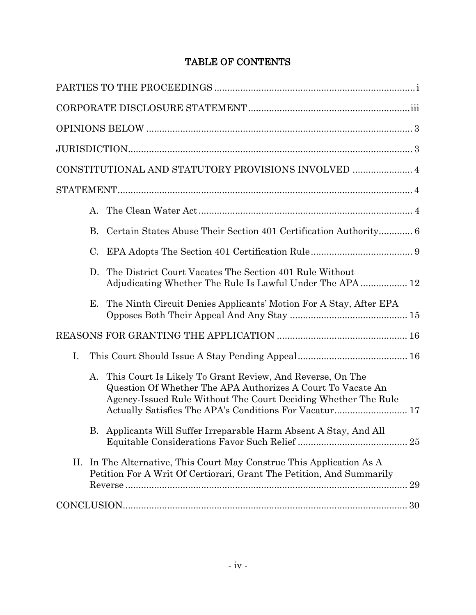## TABLE OF CONTENTS

|    |           | CONSTITUTIONAL AND STATUTORY PROVISIONS INVOLVED  4                                                                                                                                        |  |
|----|-----------|--------------------------------------------------------------------------------------------------------------------------------------------------------------------------------------------|--|
|    |           |                                                                                                                                                                                            |  |
|    | $A_{-}$   |                                                                                                                                                                                            |  |
|    | <b>B.</b> | Certain States Abuse Their Section 401 Certification Authority 6                                                                                                                           |  |
|    | C.        |                                                                                                                                                                                            |  |
|    | D.        | The District Court Vacates The Section 401 Rule Without<br>Adjudicating Whether The Rule Is Lawful Under The APA 12                                                                        |  |
|    | Е.        | The Ninth Circuit Denies Applicants' Motion For A Stay, After EPA                                                                                                                          |  |
|    |           |                                                                                                                                                                                            |  |
| I. |           |                                                                                                                                                                                            |  |
|    | A.        | This Court Is Likely To Grant Review, And Reverse, On The<br>Question Of Whether The APA Authorizes A Court To Vacate An<br>Agency-Issued Rule Without The Court Deciding Whether The Rule |  |
|    |           | B. Applicants Will Suffer Irreparable Harm Absent A Stay, And All                                                                                                                          |  |
| П. |           | In The Alternative, This Court May Construe This Application As A<br>Petition For A Writ Of Certiorari, Grant The Petition, And Summarily                                                  |  |
|    |           | $CONCLUSION. \dots 30$                                                                                                                                                                     |  |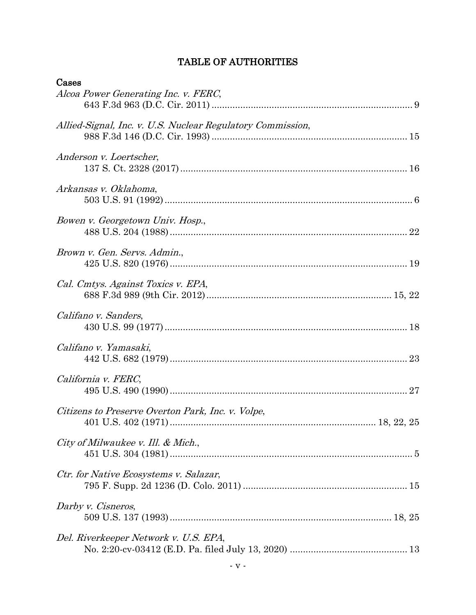## TABLE OF AUTHORITIES

| Cases                                                      |
|------------------------------------------------------------|
| Alcoa Power Generating Inc. v. FERC,                       |
| Allied-Signal, Inc. v. U.S. Nuclear Regulatory Commission, |
| Anderson v. Loertscher,                                    |
| Arkansas v. Oklahoma,                                      |
| Bowen v. Georgetown Univ. Hosp.,                           |
| Brown v. Gen. Servs. Admin.,                               |
| Cal. Cmtys. Against Toxics v. EPA,                         |
| Califano v. Sanders,                                       |
| Califano v. Yamasaki,                                      |
| California v. FERC,                                        |
| Citizens to Preserve Overton Park, Inc. v. Volpe,          |
| City of Milwaukee v. Ill. & Mich.,                         |
| Ctr. for Native Ecosystems v. Salazar,                     |
| Darby v. Cisneros,                                         |
| Del. Riverkeeper Network v. U.S. EPA,                      |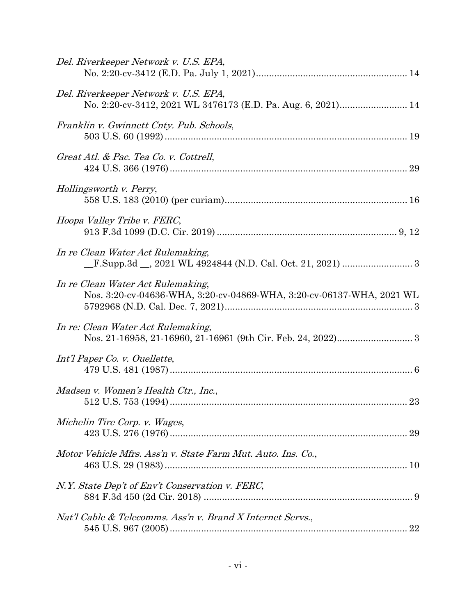| Del. Riverkeeper Network v. U.S. EPA,                                                                      |
|------------------------------------------------------------------------------------------------------------|
| Del. Riverkeeper Network v. U.S. EPA,<br>No. 2:20-cv-3412, 2021 WL 3476173 (E.D. Pa. Aug. 6, 2021) 14      |
| Franklin v. Gwinnett Cnty. Pub. Schools,                                                                   |
| Great Atl. & Pac. Tea Co. v. Cottrell,                                                                     |
| Hollingsworth v. Perry,                                                                                    |
| Hoopa Valley Tribe v. FERC,                                                                                |
| In re Clean Water Act Rulemaking,                                                                          |
| In re Clean Water Act Rulemaking,<br>Nos. 3:20-cv-04636-WHA, 3:20-cv-04869-WHA, 3:20-cv-06137-WHA, 2021 WL |
| In re: Clean Water Act Rulemaking,                                                                         |
| Int'l Paper Co. v. Ouellette,                                                                              |
| Madsen v. Women's Health Ctr., Inc.,                                                                       |
| Michelin Tire Corp. v. Wages,<br>29                                                                        |
| Motor Vehicle Mfrs. Ass'n v. State Farm Mut. Auto. Ins. Co.,                                               |
| N.Y. State Dep't of Env't Conservation v. FERC,                                                            |
| Nat'l Cable & Telecomms. Ass'n v. Brand X Internet Servs.,                                                 |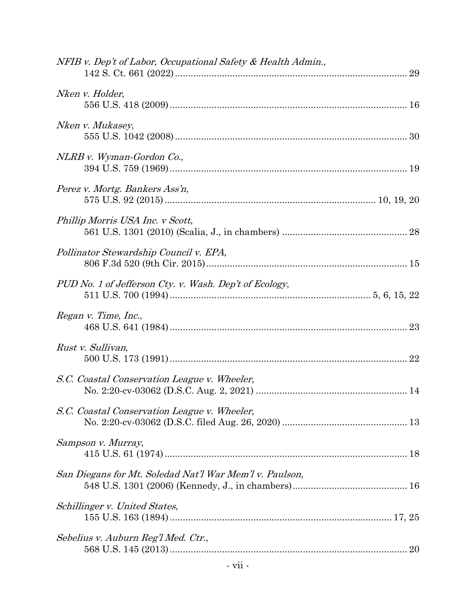| NFIB v. Dep't of Labor, Occupational Safety & Health Admin., |  |
|--------------------------------------------------------------|--|
| Nken v. Holder,                                              |  |
| Nken v. Mukasey,                                             |  |
| NLRB v. Wyman-Gordon Co.,                                    |  |
| Perez v. Mortg. Bankers Ass'n,                               |  |
| Phillip Morris USA Inc. v Scott,                             |  |
| Pollinator Stewardship Council v. EPA,                       |  |
| PUD No. 1 of Jefferson Cty. v. Wash. Dep't of Ecology,       |  |
| Regan v. Time, Inc.,                                         |  |
| Rust v. Sullivan,                                            |  |
| S.C. Coastal Conservation League v. Wheeler,                 |  |
| S.C. Coastal Conservation League v. Wheeler,                 |  |
| Sampson v. Murray,                                           |  |
| San Diegans for Mt. Soledad Nat'l War Mem'l v. Paulson,      |  |
| Schillinger v. United States,                                |  |
| Sebelius v. Auburn Reg'l Med. Ctr.,                          |  |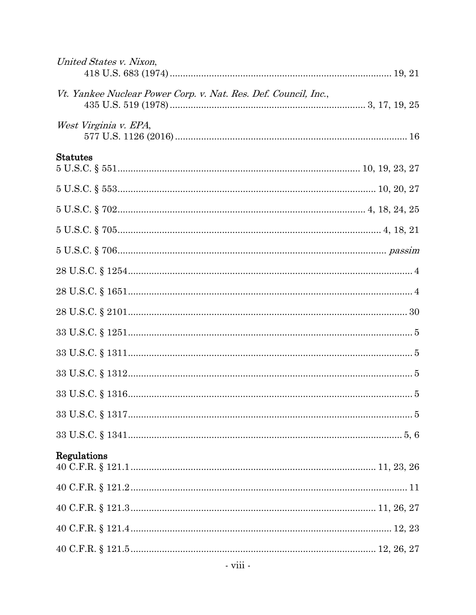| United States v. Nixon,                                         |  |
|-----------------------------------------------------------------|--|
| Vt. Yankee Nuclear Power Corp. v. Nat. Res. Def. Council, Inc., |  |
| West Virginia v. EPA,                                           |  |
| <b>Statutes</b>                                                 |  |
|                                                                 |  |
|                                                                 |  |
|                                                                 |  |
|                                                                 |  |
|                                                                 |  |
|                                                                 |  |
|                                                                 |  |
|                                                                 |  |
|                                                                 |  |
|                                                                 |  |
|                                                                 |  |
|                                                                 |  |
|                                                                 |  |
| Regulations                                                     |  |
|                                                                 |  |
|                                                                 |  |
|                                                                 |  |
|                                                                 |  |
| - viii -                                                        |  |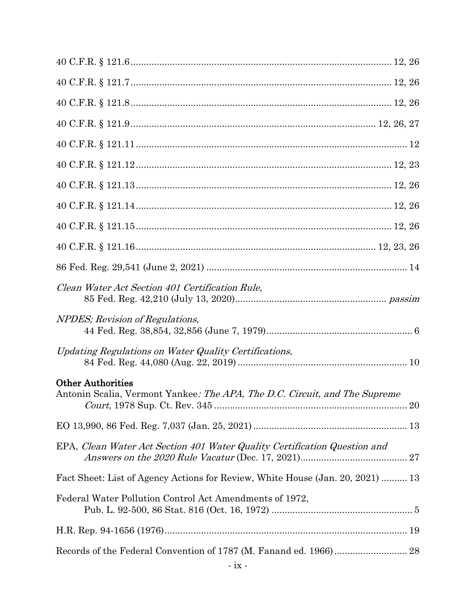| Clean Water Act Section 401 Certification Rule,                                                        |
|--------------------------------------------------------------------------------------------------------|
| NPDES; Revision of Regulations,                                                                        |
| Updating Regulations on Water Quality Certifications,                                                  |
| <b>Other Authorities</b><br>Antonin Scalia, Vermont Yankee: The APA, The D.C. Circuit, and The Supreme |
|                                                                                                        |
| EPA, Clean Water Act Section 401 Water Quality Certification Question and                              |
| Fact Sheet: List of Agency Actions for Review, White House (Jan. 20, 2021)  13                         |
| Federal Water Pollution Control Act Amendments of 1972,                                                |
|                                                                                                        |
|                                                                                                        |
|                                                                                                        |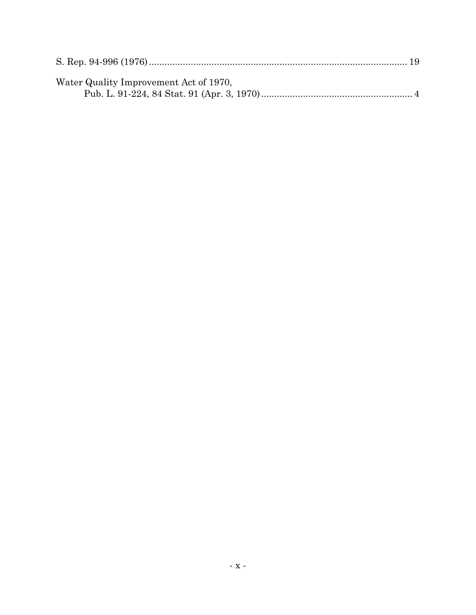| Water Quality Improvement Act of 1970, |  |
|----------------------------------------|--|
|                                        |  |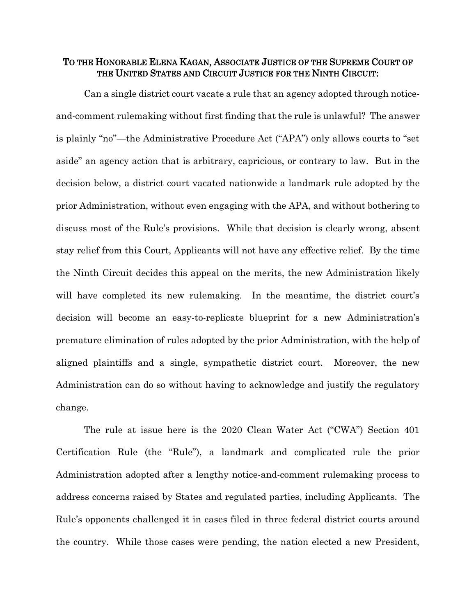## TO THE HONORABLE ELENA KAGAN, ASSOCIATE JUSTICE OF THE SUPREME COURT OF THE UNITED STATES AND CIRCUIT JUSTICE FOR THE NINTH CIRCUIT:

Can a single district court vacate a rule that an agency adopted through noticeand-comment rulemaking without first finding that the rule is unlawful? The answer is plainly "no"—the Administrative Procedure Act ("APA") only allows courts to "set aside" an agency action that is arbitrary, capricious, or contrary to law. But in the decision below, a district court vacated nationwide a landmark rule adopted by the prior Administration, without even engaging with the APA, and without bothering to discuss most of the Rule's provisions. While that decision is clearly wrong, absent stay relief from this Court, Applicants will not have any effective relief. By the time the Ninth Circuit decides this appeal on the merits, the new Administration likely will have completed its new rulemaking. In the meantime, the district court's decision will become an easy-to-replicate blueprint for a new Administration's premature elimination of rules adopted by the prior Administration, with the help of aligned plaintiffs and a single, sympathetic district court. Moreover, the new Administration can do so without having to acknowledge and justify the regulatory change.

The rule at issue here is the 2020 Clean Water Act ("CWA") Section 401 Certification Rule (the "Rule"), a landmark and complicated rule the prior Administration adopted after a lengthy notice-and-comment rulemaking process to address concerns raised by States and regulated parties, including Applicants. The Rule's opponents challenged it in cases filed in three federal district courts around the country. While those cases were pending, the nation elected a new President,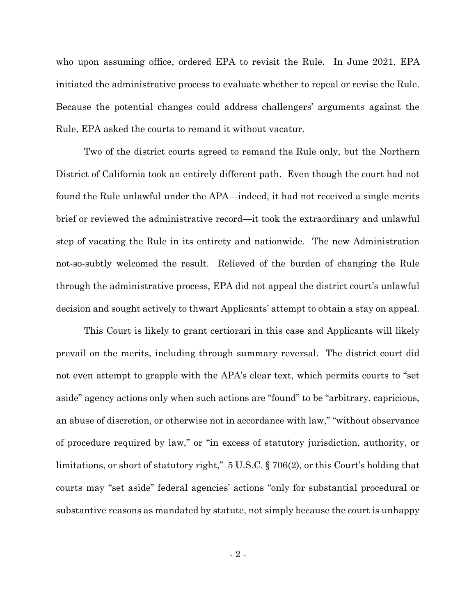who upon assuming office, ordered EPA to revisit the Rule. In June 2021, EPA initiated the administrative process to evaluate whether to repeal or revise the Rule. Because the potential changes could address challengers' arguments against the Rule, EPA asked the courts to remand it without vacatur.

Two of the district courts agreed to remand the Rule only, but the Northern District of California took an entirely different path. Even though the court had not found the Rule unlawful under the APA—indeed, it had not received a single merits brief or reviewed the administrative record—it took the extraordinary and unlawful step of vacating the Rule in its entirety and nationwide. The new Administration not-so-subtly welcomed the result. Relieved of the burden of changing the Rule through the administrative process, EPA did not appeal the district court's unlawful decision and sought actively to thwart Applicants' attempt to obtain a stay on appeal.

This Court is likely to grant certiorari in this case and Applicants will likely prevail on the merits, including through summary reversal. The district court did not even attempt to grapple with the APA's clear text, which permits courts to "set aside" agency actions only when such actions are "found" to be "arbitrary, capricious, an abuse of discretion, or otherwise not in accordance with law," "without observance of procedure required by law," or "in excess of statutory jurisdiction, authority, or limitations, or short of statutory right," 5 U.S.C. § 706(2), or this Court's holding that courts may "set aside" federal agencies' actions "only for substantial procedural or substantive reasons as mandated by statute, not simply because the court is unhappy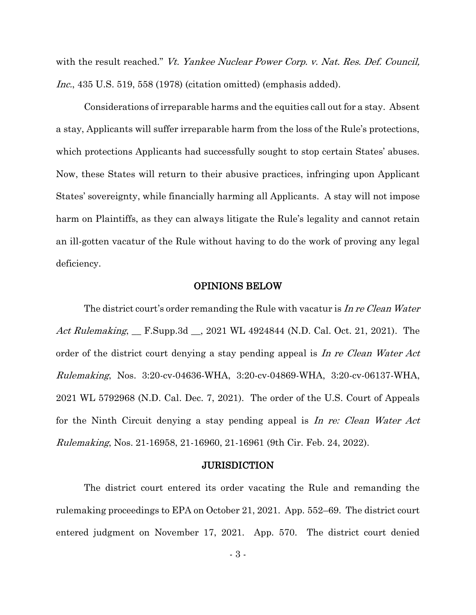with the result reached." Vt. Yankee Nuclear Power Corp. v. Nat. Res. Def. Council, Inc., 435 U.S. 519, 558 (1978) (citation omitted) (emphasis added).

Considerations of irreparable harms and the equities call out for a stay. Absent a stay, Applicants will suffer irreparable harm from the loss of the Rule's protections, which protections Applicants had successfully sought to stop certain States' abuses. Now, these States will return to their abusive practices, infringing upon Applicant States' sovereignty, while financially harming all Applicants. A stay will not impose harm on Plaintiffs, as they can always litigate the Rule's legality and cannot retain an ill-gotten vacatur of the Rule without having to do the work of proving any legal deficiency.

### OPINIONS BELOW

The district court's order remanding the Rule with vacatur is In re Clean Water Act Rulemaking, F.Supp.3d <sub>, 2021</sub> WL 4924844 (N.D. Cal. Oct. 21, 2021). The order of the district court denying a stay pending appeal is In re Clean Water Act Rulemaking, Nos. 3:20-cv-04636-WHA, 3:20-cv-04869-WHA, 3:20-cv-06137-WHA, 2021 WL 5792968 (N.D. Cal. Dec. 7, 2021). The order of the U.S. Court of Appeals for the Ninth Circuit denying a stay pending appeal is In re: Clean Water Act Rulemaking, Nos. 21-16958, 21-16960, 21-16961 (9th Cir. Feb. 24, 2022).

#### **JURISDICTION**

The district court entered its order vacating the Rule and remanding the rulemaking proceedings to EPA on October 21, 2021. App. 552–69. The district court entered judgment on November 17, 2021. App. 570. The district court denied

- 3 -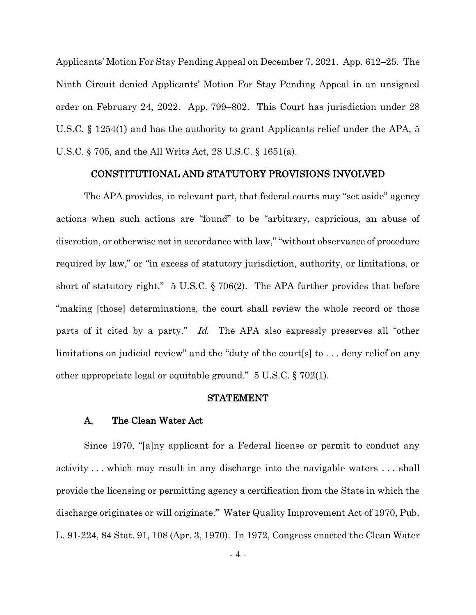Applicants' Motion For Stay Pending Appeal on December 7, 2021. App. 612–25. The Ninth Circuit denied Applicants' Motion For Stay Pending Appeal in an unsigned order on February 24, 2022. App. 799–802. This Court has jurisdiction under 28 U.S.C. § 1254(1) and has the authority to grant Applicants relief under the APA, 5 U.S.C. § 705, and the All Writs Act, 28 U.S.C. § 1651(a).

#### CONSTITUTIONAL AND STATUTORY PROVISIONS INVOLVED

The APA provides, in relevant part, that federal courts may "set aside" agency actions when such actions are "found" to be "arbitrary, capricious, an abuse of discretion, or otherwise not in accordance with law," "without observance of procedure required by law," or "in excess of statutory jurisdiction, authority, or limitations, or short of statutory right." 5 U.S.C. § 706(2). The APA further provides that before "making [those] determinations, the court shall review the whole record or those parts of it cited by a party." Id. The APA also expressly preserves all "other limitations on judicial review" and the "duty of the court[s] to . . . deny relief on any other appropriate legal or equitable ground." 5 U.S.C. § 702(1).

#### STATEMENT

#### A. The Clean Water Act

Since 1970, "[a]ny applicant for a Federal license or permit to conduct any activity . . . which may result in any discharge into the navigable waters . . . shall provide the licensing or permitting agency a certification from the State in which the discharge originates or will originate." Water Quality Improvement Act of 1970, Pub. L. 91-224, 84 Stat. 91, 108 (Apr. 3, 1970). In 1972, Congress enacted the Clean Water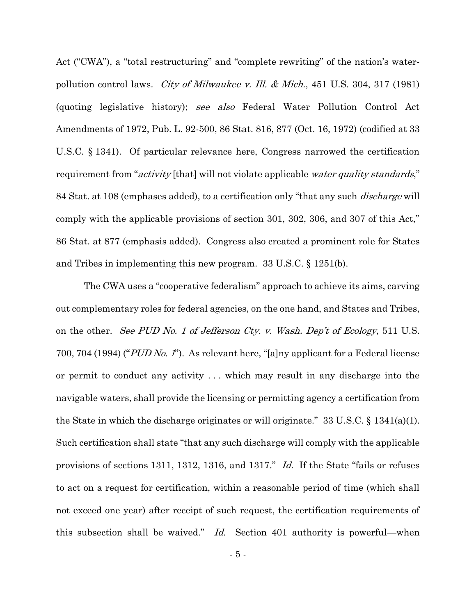Act ("CWA"), a "total restructuring" and "complete rewriting" of the nation's waterpollution control laws. City of Milwaukee v. Ill. & Mich., 451 U.S. 304, 317 (1981) (quoting legislative history); see also Federal Water Pollution Control Act Amendments of 1972, Pub. L. 92-500, 86 Stat. 816, 877 (Oct. 16, 1972) (codified at 33 U.S.C. § 1341). Of particular relevance here, Congress narrowed the certification requirement from "*activity* [that] will not violate applicable *water quality standards*," 84 Stat. at 108 (emphases added), to a certification only "that any such *discharge* will comply with the applicable provisions of section 301, 302, 306, and 307 of this Act," 86 Stat. at 877 (emphasis added). Congress also created a prominent role for States and Tribes in implementing this new program. 33 U.S.C. § 1251(b).

The CWA uses a "cooperative federalism" approach to achieve its aims, carving out complementary roles for federal agencies, on the one hand, and States and Tribes, on the other. See PUD No. 1 of Jefferson Cty. v. Wash. Dep't of Ecology, 511 U.S. 700, 704 (1994) ("PUD No. 1"). As relevant here, "[a]ny applicant for a Federal license or permit to conduct any activity . . . which may result in any discharge into the navigable waters, shall provide the licensing or permitting agency a certification from the State in which the discharge originates or will originate."  $33 \text{ U.S.C.}$  §  $1341(a)(1)$ . Such certification shall state "that any such discharge will comply with the applicable provisions of sections 1311, 1312, 1316, and 1317." Id. If the State "fails or refuses to act on a request for certification, within a reasonable period of time (which shall not exceed one year) after receipt of such request, the certification requirements of this subsection shall be waived." Id. Section 401 authority is powerful—when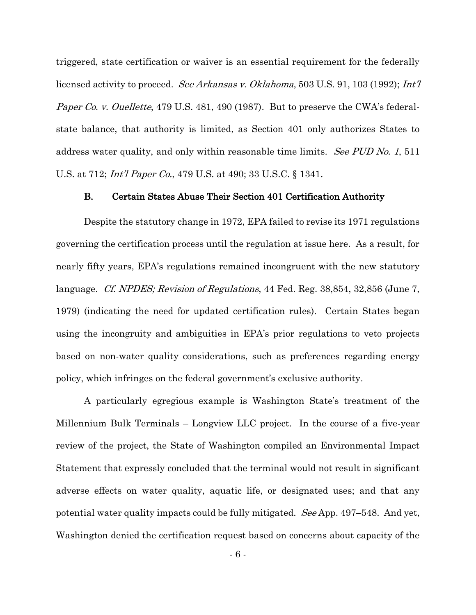triggered, state certification or waiver is an essential requirement for the federally licensed activity to proceed. *See Arkansas v. Oklahoma*, 503 U.S. 91, 103 (1992); *Int'l* Paper Co. v. Ouellette, 479 U.S. 481, 490 (1987). But to preserve the CWA's federalstate balance, that authority is limited, as Section 401 only authorizes States to address water quality, and only within reasonable time limits. See PUD No. 1, 511 U.S. at 712; *Int'l Paper Co.*, 479 U.S. at 490; 33 U.S.C. § 1341.

#### B. Certain States Abuse Their Section 401 Certification Authority

Despite the statutory change in 1972, EPA failed to revise its 1971 regulations governing the certification process until the regulation at issue here. As a result, for nearly fifty years, EPA's regulations remained incongruent with the new statutory language. *Cf. NPDES; Revision of Regulations*, 44 Fed. Reg. 38,854, 32,856 (June 7, 1979) (indicating the need for updated certification rules). Certain States began using the incongruity and ambiguities in EPA's prior regulations to veto projects based on non-water quality considerations, such as preferences regarding energy policy, which infringes on the federal government's exclusive authority.

A particularly egregious example is Washington State's treatment of the Millennium Bulk Terminals – Longview LLC project. In the course of a five-year review of the project, the State of Washington compiled an Environmental Impact Statement that expressly concluded that the terminal would not result in significant adverse effects on water quality, aquatic life, or designated uses; and that any potential water quality impacts could be fully mitigated. See App. 497–548. And yet, Washington denied the certification request based on concerns about capacity of the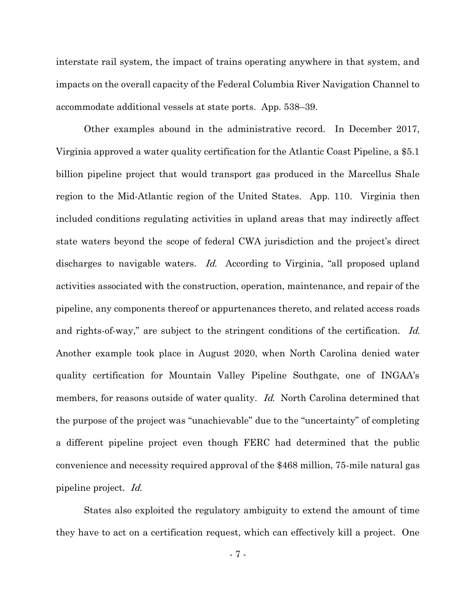interstate rail system, the impact of trains operating anywhere in that system, and impacts on the overall capacity of the Federal Columbia River Navigation Channel to accommodate additional vessels at state ports. App. 538–39.

Other examples abound in the administrative record. In December 2017, Virginia approved a water quality certification for the Atlantic Coast Pipeline, a \$5.1 billion pipeline project that would transport gas produced in the Marcellus Shale region to the Mid-Atlantic region of the United States. App. 110. Virginia then included conditions regulating activities in upland areas that may indirectly affect state waters beyond the scope of federal CWA jurisdiction and the project's direct discharges to navigable waters. *Id.* According to Virginia, "all proposed upland activities associated with the construction, operation, maintenance, and repair of the pipeline, any components thereof or appurtenances thereto, and related access roads and rights-of-way," are subject to the stringent conditions of the certification. Id. Another example took place in August 2020, when North Carolina denied water quality certification for Mountain Valley Pipeline Southgate, one of INGAA's members, for reasons outside of water quality. Id. North Carolina determined that the purpose of the project was "unachievable" due to the "uncertainty" of completing a different pipeline project even though FERC had determined that the public convenience and necessity required approval of the \$468 million, 75-mile natural gas pipeline project. Id.

States also exploited the regulatory ambiguity to extend the amount of time they have to act on a certification request, which can effectively kill a project. One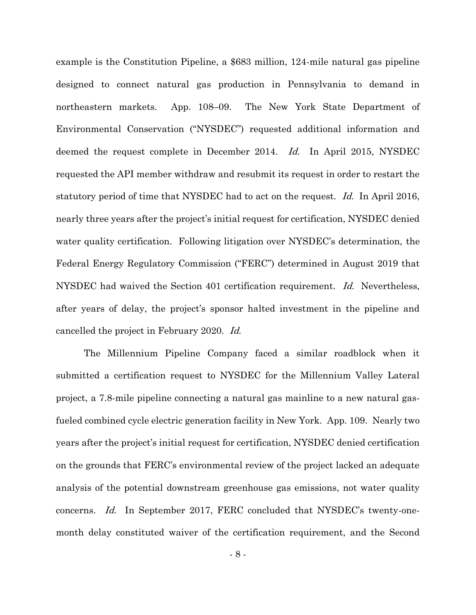example is the Constitution Pipeline, a \$683 million, 124-mile natural gas pipeline designed to connect natural gas production in Pennsylvania to demand in northeastern markets. App. 108–09. The New York State Department of Environmental Conservation ("NYSDEC") requested additional information and deemed the request complete in December 2014. Id. In April 2015, NYSDEC requested the API member withdraw and resubmit its request in order to restart the statutory period of time that NYSDEC had to act on the request. Id. In April 2016, nearly three years after the project's initial request for certification, NYSDEC denied water quality certification. Following litigation over NYSDEC's determination, the Federal Energy Regulatory Commission ("FERC") determined in August 2019 that NYSDEC had waived the Section 401 certification requirement. Id. Nevertheless, after years of delay, the project's sponsor halted investment in the pipeline and cancelled the project in February 2020. Id.

The Millennium Pipeline Company faced a similar roadblock when it submitted a certification request to NYSDEC for the Millennium Valley Lateral project, a 7.8-mile pipeline connecting a natural gas mainline to a new natural gasfueled combined cycle electric generation facility in New York. App. 109. Nearly two years after the project's initial request for certification, NYSDEC denied certification on the grounds that FERC's environmental review of the project lacked an adequate analysis of the potential downstream greenhouse gas emissions, not water quality concerns. Id. In September 2017, FERC concluded that NYSDEC's twenty-onemonth delay constituted waiver of the certification requirement, and the Second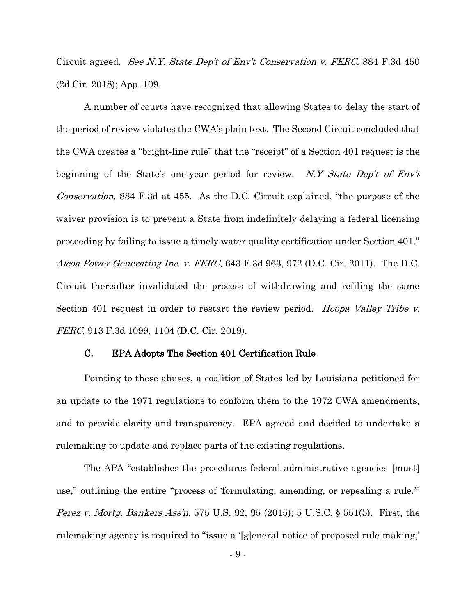Circuit agreed. See N.Y. State Dep't of Env't Conservation v. FERC, 884 F.3d 450 (2d Cir. 2018); App. 109.

A number of courts have recognized that allowing States to delay the start of the period of review violates the CWA's plain text. The Second Circuit concluded that the CWA creates a "bright-line rule" that the "receipt" of a Section 401 request is the beginning of the State's one-year period for review. N.Y State Dep't of  $Env't$ Conservation, 884 F.3d at 455. As the D.C. Circuit explained, "the purpose of the waiver provision is to prevent a State from indefinitely delaying a federal licensing proceeding by failing to issue a timely water quality certification under Section 401." Alcoa Power Generating Inc. v. FERC, 643 F.3d 963, 972 (D.C. Cir. 2011). The D.C. Circuit thereafter invalidated the process of withdrawing and refiling the same Section 401 request in order to restart the review period. Hoopa Valley Tribe v. FERC, 913 F.3d 1099, 1104 (D.C. Cir. 2019).

#### C. EPA Adopts The Section 401 Certification Rule

Pointing to these abuses, a coalition of States led by Louisiana petitioned for an update to the 1971 regulations to conform them to the 1972 CWA amendments, and to provide clarity and transparency. EPA agreed and decided to undertake a rulemaking to update and replace parts of the existing regulations.

The APA "establishes the procedures federal administrative agencies [must] use," outlining the entire "process of 'formulating, amending, or repealing a rule.'" Perez v. Mortg. Bankers Ass'n, 575 U.S. 92, 95 (2015); 5 U.S.C. § 551(5). First, the rulemaking agency is required to "issue a '[g]eneral notice of proposed rule making,'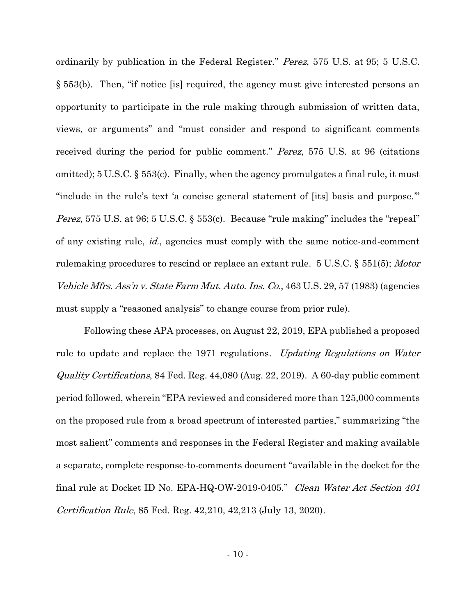ordinarily by publication in the Federal Register." Perez, 575 U.S. at 95; 5 U.S.C. § 553(b). Then, "if notice [is] required, the agency must give interested persons an opportunity to participate in the rule making through submission of written data, views, or arguments" and "must consider and respond to significant comments received during the period for public comment." Perez, 575 U.S. at 96 (citations omitted); 5 U.S.C. § 553(c). Finally, when the agency promulgates a final rule, it must "include in the rule's text 'a concise general statement of [its] basis and purpose.'" Perez, 575 U.S. at 96; 5 U.S.C. § 553(c). Because "rule making" includes the "repeal" of any existing rule, id., agencies must comply with the same notice-and-comment rulemaking procedures to rescind or replace an extant rule. 5 U.S.C. § 551(5); *Motor* Vehicle Mfrs. Ass'n v. State Farm Mut. Auto. Ins. Co., 463 U.S. 29, 57 (1983) (agencies must supply a "reasoned analysis" to change course from prior rule).

Following these APA processes, on August 22, 2019, EPA published a proposed rule to update and replace the 1971 regulations. *Updating Regulations on Water* Quality Certifications, 84 Fed. Reg. 44,080 (Aug. 22, 2019). A 60-day public comment period followed, wherein "EPA reviewed and considered more than 125,000 comments on the proposed rule from a broad spectrum of interested parties," summarizing "the most salient" comments and responses in the Federal Register and making available a separate, complete response-to-comments document "available in the docket for the final rule at Docket ID No. EPA-HQ-OW-2019-0405." Clean Water Act Section 401 Certification Rule, 85 Fed. Reg. 42,210, 42,213 (July 13, 2020).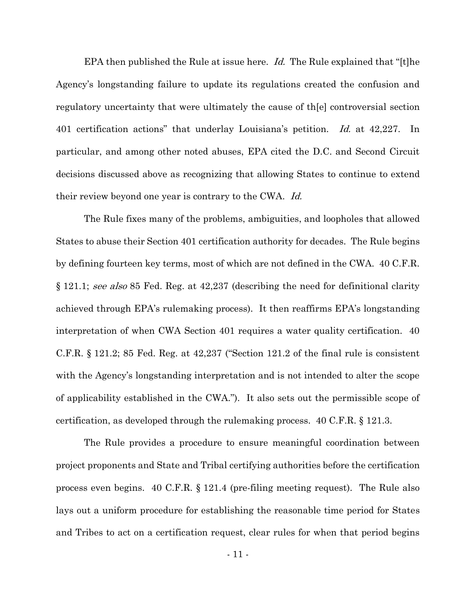EPA then published the Rule at issue here. Id. The Rule explained that "[t]he Agency's longstanding failure to update its regulations created the confusion and regulatory uncertainty that were ultimately the cause of th[e] controversial section 401 certification actions" that underlay Louisiana's petition. Id. at 42,227. In particular, and among other noted abuses, EPA cited the D.C. and Second Circuit decisions discussed above as recognizing that allowing States to continue to extend their review beyond one year is contrary to the CWA. Id.

The Rule fixes many of the problems, ambiguities, and loopholes that allowed States to abuse their Section 401 certification authority for decades. The Rule begins by defining fourteen key terms, most of which are not defined in the CWA. 40 C.F.R. § 121.1; see also 85 Fed. Reg. at 42,237 (describing the need for definitional clarity achieved through EPA's rulemaking process). It then reaffirms EPA's longstanding interpretation of when CWA Section 401 requires a water quality certification. 40 C.F.R. § 121.2; 85 Fed. Reg. at 42,237 ("Section 121.2 of the final rule is consistent with the Agency's longstanding interpretation and is not intended to alter the scope of applicability established in the CWA."). It also sets out the permissible scope of certification, as developed through the rulemaking process. 40 C.F.R. § 121.3.

The Rule provides a procedure to ensure meaningful coordination between project proponents and State and Tribal certifying authorities before the certification process even begins. 40 C.F.R. § 121.4 (pre-filing meeting request). The Rule also lays out a uniform procedure for establishing the reasonable time period for States and Tribes to act on a certification request, clear rules for when that period begins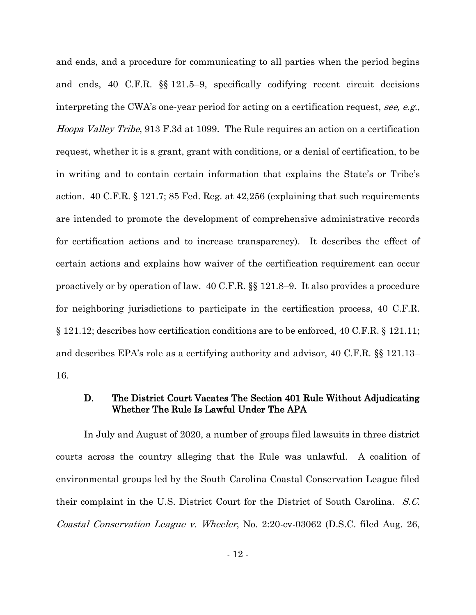and ends, and a procedure for communicating to all parties when the period begins and ends, 40 C.F.R. §§ 121.5–9, specifically codifying recent circuit decisions interpreting the CWA's one-year period for acting on a certification request, see, e.g., Hoopa Valley Tribe, 913 F.3d at 1099. The Rule requires an action on a certification request, whether it is a grant, grant with conditions, or a denial of certification, to be in writing and to contain certain information that explains the State's or Tribe's action. 40 C.F.R. § 121.7; 85 Fed. Reg. at 42,256 (explaining that such requirements are intended to promote the development of comprehensive administrative records for certification actions and to increase transparency). It describes the effect of certain actions and explains how waiver of the certification requirement can occur proactively or by operation of law. 40 C.F.R. §§ 121.8–9. It also provides a procedure for neighboring jurisdictions to participate in the certification process, 40 C.F.R. § 121.12; describes how certification conditions are to be enforced, 40 C.F.R. § 121.11; and describes EPA's role as a certifying authority and advisor, 40 C.F.R. §§ 121.13– 16.

## D. The District Court Vacates The Section 401 Rule Without Adjudicating Whether The Rule Is Lawful Under The APA

In July and August of 2020, a number of groups filed lawsuits in three district courts across the country alleging that the Rule was unlawful. A coalition of environmental groups led by the South Carolina Coastal Conservation League filed their complaint in the U.S. District Court for the District of South Carolina. S.C. Coastal Conservation League v. Wheeler, No. 2:20-cv-03062 (D.S.C. filed Aug. 26,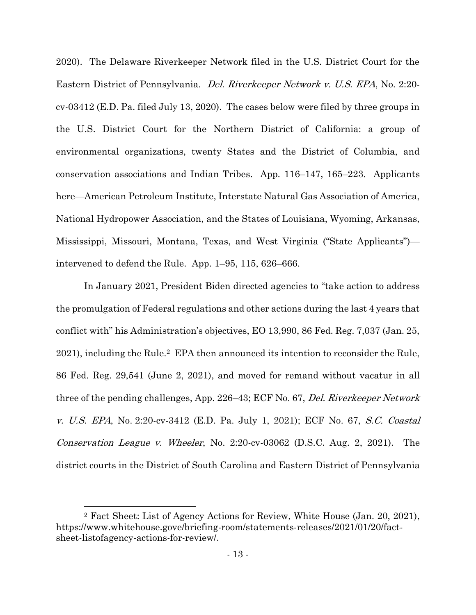2020). The Delaware Riverkeeper Network filed in the U.S. District Court for the Eastern District of Pennsylvania. Del. Riverkeeper Network v. U.S. EPA, No. 2:20 cv-03412 (E.D. Pa. filed July 13, 2020). The cases below were filed by three groups in the U.S. District Court for the Northern District of California: a group of environmental organizations, twenty States and the District of Columbia, and conservation associations and Indian Tribes. App. 116–147, 165–223. Applicants here—American Petroleum Institute, Interstate Natural Gas Association of America, National Hydropower Association, and the States of Louisiana, Wyoming, Arkansas, Mississippi, Missouri, Montana, Texas, and West Virginia ("State Applicants") intervened to defend the Rule. App. 1–95, 115, 626–666.

In January 2021, President Biden directed agencies to "take action to address the promulgation of Federal regulations and other actions during the last 4 years that conflict with" his Administration's objectives, EO 13,990, 86 Fed. Reg. 7,037 (Jan. 25, 2021), including the Rule.2 EPA then announced its intention to reconsider the Rule, 86 Fed. Reg. 29,541 (June 2, 2021), and moved for remand without vacatur in all three of the pending challenges, App. 226–43; ECF No. 67, Del. Riverkeeper Network v. U.S. EPA, No. 2:20-cv-3412 (E.D. Pa. July 1, 2021); ECF No. 67, S.C. Coastal Conservation League v. Wheeler, No. 2:20-cv-03062 (D.S.C. Aug. 2, 2021). The district courts in the District of South Carolina and Eastern District of Pennsylvania

<sup>2</sup> Fact Sheet: List of Agency Actions for Review, White House (Jan. 20, 2021), https://www.whitehouse.gove/briefing-room/statements-releases/2021/01/20/factsheet-listofagency-actions-for-review/.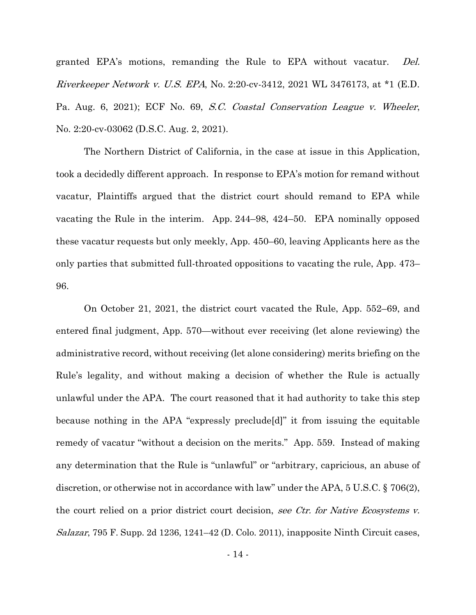granted EPA's motions, remanding the Rule to EPA without vacatur. Del. Riverkeeper Network v. U.S. EPA, No. 2:20-cv-3412, 2021 WL 3476173, at \*1 (E.D. Pa. Aug. 6, 2021); ECF No. 69, S.C. Coastal Conservation League v. Wheeler, No. 2:20-cv-03062 (D.S.C. Aug. 2, 2021).

The Northern District of California, in the case at issue in this Application, took a decidedly different approach. In response to EPA's motion for remand without vacatur, Plaintiffs argued that the district court should remand to EPA while vacating the Rule in the interim. App. 244–98, 424–50. EPA nominally opposed these vacatur requests but only meekly, App. 450–60, leaving Applicants here as the only parties that submitted full-throated oppositions to vacating the rule, App. 473– 96.

On October 21, 2021, the district court vacated the Rule, App. 552–69, and entered final judgment, App. 570—without ever receiving (let alone reviewing) the administrative record, without receiving (let alone considering) merits briefing on the Rule's legality, and without making a decision of whether the Rule is actually unlawful under the APA. The court reasoned that it had authority to take this step because nothing in the APA "expressly preclude[d]" it from issuing the equitable remedy of vacatur "without a decision on the merits." App. 559. Instead of making any determination that the Rule is "unlawful" or "arbitrary, capricious, an abuse of discretion, or otherwise not in accordance with law" under the APA, 5 U.S.C. § 706(2), the court relied on a prior district court decision, see Ctr. for Native Ecosystems v. Salazar, 795 F. Supp. 2d 1236, 1241–42 (D. Colo. 2011), inapposite Ninth Circuit cases,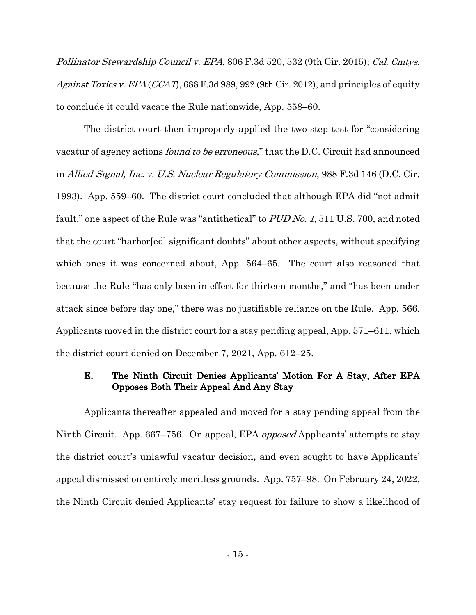Pollinator Stewardship Council v. EPA, 806 F.3d 520, 532 (9th Cir. 2015); Cal. Cmtys. Against Toxics v. EPA (CCAT), 688 F.3d 989, 992 (9th Cir. 2012), and principles of equity to conclude it could vacate the Rule nationwide, App. 558–60.

The district court then improperly applied the two-step test for "considering vacatur of agency actions found to be erroneous," that the D.C. Circuit had announced in Allied-Signal, Inc. v. U.S. Nuclear Regulatory Commission, 988 F.3d 146 (D.C. Cir. 1993). App. 559–60. The district court concluded that although EPA did "not admit fault," one aspect of the Rule was "antithetical" to PUD No. 1, 511 U.S. 700, and noted that the court "harbor[ed] significant doubts" about other aspects, without specifying which ones it was concerned about, App. 564–65. The court also reasoned that because the Rule "has only been in effect for thirteen months," and "has been under attack since before day one," there was no justifiable reliance on the Rule. App. 566. Applicants moved in the district court for a stay pending appeal, App. 571–611, which the district court denied on December 7, 2021, App. 612–25.

## E. The Ninth Circuit Denies Applicants' Motion For A Stay, After EPA Opposes Both Their Appeal And Any Stay

Applicants thereafter appealed and moved for a stay pending appeal from the Ninth Circuit. App. 667–756. On appeal, EPA opposed Applicants' attempts to stay the district court's unlawful vacatur decision, and even sought to have Applicants' appeal dismissed on entirely meritless grounds. App. 757–98. On February 24, 2022, the Ninth Circuit denied Applicants' stay request for failure to show a likelihood of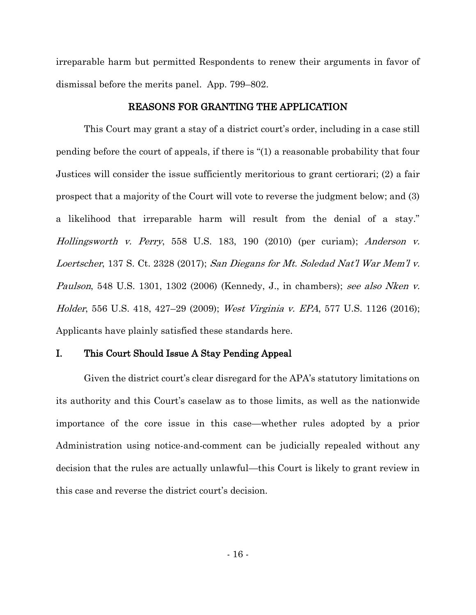irreparable harm but permitted Respondents to renew their arguments in favor of dismissal before the merits panel. App. 799–802.

#### REASONS FOR GRANTING THE APPLICATION

This Court may grant a stay of a district court's order, including in a case still pending before the court of appeals, if there is "(1) a reasonable probability that four Justices will consider the issue sufficiently meritorious to grant certiorari; (2) a fair prospect that a majority of the Court will vote to reverse the judgment below; and (3) a likelihood that irreparable harm will result from the denial of a stay." Hollingsworth v. Perry, 558 U.S. 183, 190 (2010) (per curiam); Anderson v. Loertscher, 137 S. Ct. 2328 (2017); San Diegans for Mt. Soledad Nat'l War Mem'l v. Paulson, 548 U.S. 1301, 1302 (2006) (Kennedy, J., in chambers); see also Nken v. Holder, 556 U.S. 418, 427–29 (2009); West Virginia v. EPA, 577 U.S. 1126 (2016); Applicants have plainly satisfied these standards here.

#### I. This Court Should Issue A Stay Pending Appeal

Given the district court's clear disregard for the APA's statutory limitations on its authority and this Court's caselaw as to those limits, as well as the nationwide importance of the core issue in this case—whether rules adopted by a prior Administration using notice-and-comment can be judicially repealed without any decision that the rules are actually unlawful—this Court is likely to grant review in this case and reverse the district court's decision.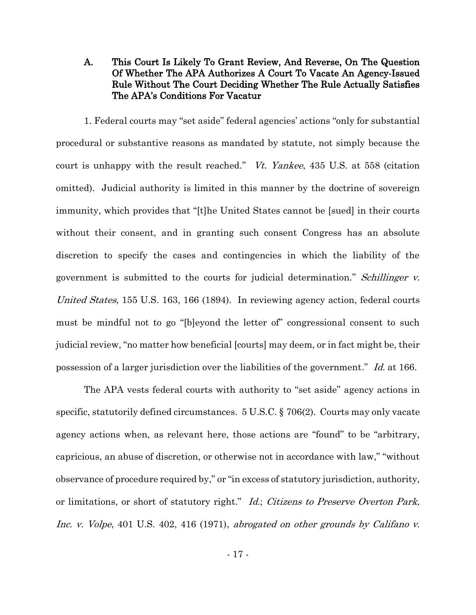## A. This Court Is Likely To Grant Review, And Reverse, On The Question Of Whether The APA Authorizes A Court To Vacate An Agency-Issued Rule Without The Court Deciding Whether The Rule Actually Satisfies The APA's Conditions For Vacatur

1. Federal courts may "set aside" federal agencies' actions "only for substantial procedural or substantive reasons as mandated by statute, not simply because the court is unhappy with the result reached." *Vt. Yankee*, 435 U.S. at 558 (citation omitted). Judicial authority is limited in this manner by the doctrine of sovereign immunity, which provides that "[t]he United States cannot be [sued] in their courts without their consent, and in granting such consent Congress has an absolute discretion to specify the cases and contingencies in which the liability of the government is submitted to the courts for judicial determination." Schillinger v. United States, 155 U.S. 163, 166 (1894). In reviewing agency action, federal courts must be mindful not to go "[b]eyond the letter of" congressional consent to such judicial review, "no matter how beneficial [courts] may deem, or in fact might be, their possession of a larger jurisdiction over the liabilities of the government."  $Id$  at 166.

The APA vests federal courts with authority to "set aside" agency actions in specific, statutorily defined circumstances. 5 U.S.C. § 706(2). Courts may only vacate agency actions when, as relevant here, those actions are "found" to be "arbitrary, capricious, an abuse of discretion, or otherwise not in accordance with law," "without observance of procedure required by," or "in excess of statutory jurisdiction, authority, or limitations, or short of statutory right." Id.; Citizens to Preserve Overton Park, Inc. v. Volpe, 401 U.S. 402, 416 (1971), abrogated on other grounds by Califano v.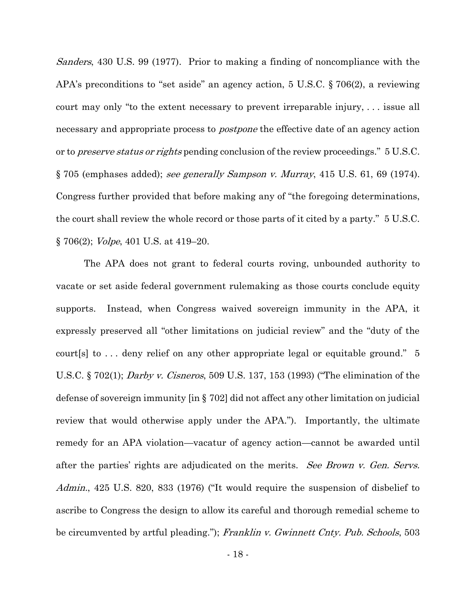Sanders, 430 U.S. 99 (1977). Prior to making a finding of noncompliance with the APA's preconditions to "set aside" an agency action, 5 U.S.C. § 706(2), a reviewing court may only "to the extent necessary to prevent irreparable injury, . . . issue all necessary and appropriate process to *postpone* the effective date of an agency action or to *preserve status or rights* pending conclusion of the review proceedings." 5 U.S.C. § 705 (emphases added); see generally Sampson v. Murray, 415 U.S. 61, 69 (1974). Congress further provided that before making any of "the foregoing determinations, the court shall review the whole record or those parts of it cited by a party." 5 U.S.C. § 706(2); Volpe, 401 U.S. at 419–20.

The APA does not grant to federal courts roving, unbounded authority to vacate or set aside federal government rulemaking as those courts conclude equity supports. Instead, when Congress waived sovereign immunity in the APA, it expressly preserved all "other limitations on judicial review" and the "duty of the court[s] to . . . deny relief on any other appropriate legal or equitable ground." 5 U.S.C. § 702(1); Darby v. Cisneros, 509 U.S. 137, 153 (1993) ("The elimination of the defense of sovereign immunity [in § 702] did not affect any other limitation on judicial review that would otherwise apply under the APA."). Importantly, the ultimate remedy for an APA violation—vacatur of agency action—cannot be awarded until after the parties' rights are adjudicated on the merits. See Brown v. Gen. Servs. Admin., 425 U.S. 820, 833 (1976) ("It would require the suspension of disbelief to ascribe to Congress the design to allow its careful and thorough remedial scheme to be circumvented by artful pleading."); Franklin v. Gwinnett Cnty. Pub. Schools, 503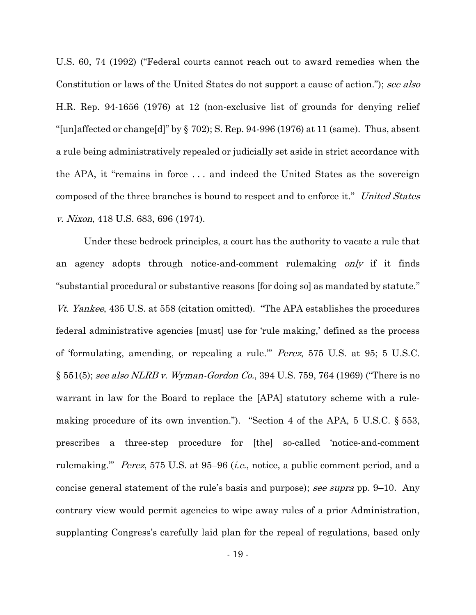U.S. 60, 74 (1992) ("Federal courts cannot reach out to award remedies when the Constitution or laws of the United States do not support a cause of action."); see also H.R. Rep. 94-1656 (1976) at 12 (non-exclusive list of grounds for denying relief "[un]affected or change[d]" by  $\S$  702); S. Rep. 94-996 (1976) at 11 (same). Thus, absent a rule being administratively repealed or judicially set aside in strict accordance with the APA, it "remains in force . . . and indeed the United States as the sovereign composed of the three branches is bound to respect and to enforce it." United States v. Nixon, 418 U.S. 683, 696 (1974).

Under these bedrock principles, a court has the authority to vacate a rule that an agency adopts through notice-and-comment rulemaking only if it finds "substantial procedural or substantive reasons [for doing so] as mandated by statute." Vt. Yankee, 435 U.S. at 558 (citation omitted). "The APA establishes the procedures federal administrative agencies [must] use for 'rule making,' defined as the process of 'formulating, amending, or repealing a rule.'" Perez, 575 U.S. at 95; 5 U.S.C. § 551(5); see also NLRB v. Wyman-Gordon Co., 394 U.S. 759, 764 (1969) ("There is no warrant in law for the Board to replace the [APA] statutory scheme with a rulemaking procedure of its own invention."). "Section 4 of the APA, 5 U.S.C. § 553, prescribes a three-step procedure for [the] so-called 'notice-and-comment rulemaking." *Perez*, 575 U.S. at 95–96 *(i.e., notice, a public comment period, and a* concise general statement of the rule's basis and purpose); see supra pp. 9–10. Any contrary view would permit agencies to wipe away rules of a prior Administration, supplanting Congress's carefully laid plan for the repeal of regulations, based only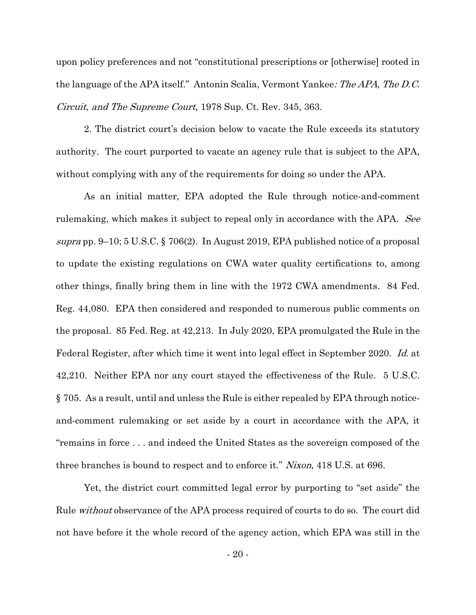upon policy preferences and not "constitutional prescriptions or [otherwise] rooted in the language of the APA itself." Antonin Scalia, Vermont Yankee: The APA, The D.C. Circuit, and The Supreme Court, 1978 Sup. Ct. Rev. 345, 363.

2. The district court's decision below to vacate the Rule exceeds its statutory authority. The court purported to vacate an agency rule that is subject to the APA, without complying with any of the requirements for doing so under the APA.

As an initial matter, EPA adopted the Rule through notice-and-comment rulemaking, which makes it subject to repeal only in accordance with the APA. See supra pp. 9–10; 5 U.S.C. § 706(2). In August 2019, EPA published notice of a proposal to update the existing regulations on CWA water quality certifications to, among other things, finally bring them in line with the 1972 CWA amendments. 84 Fed. Reg. 44,080. EPA then considered and responded to numerous public comments on the proposal. 85 Fed. Reg. at 42,213. In July 2020, EPA promulgated the Rule in the Federal Register, after which time it went into legal effect in September 2020. Id. at 42,210. Neither EPA nor any court stayed the effectiveness of the Rule. 5 U.S.C. § 705. As a result, until and unless the Rule is either repealed by EPA through noticeand-comment rulemaking or set aside by a court in accordance with the APA, it "remains in force . . . and indeed the United States as the sovereign composed of the three branches is bound to respect and to enforce it." Nixon, 418 U.S. at 696.

Yet, the district court committed legal error by purporting to "set aside" the Rule *without* observance of the APA process required of courts to do so. The court did not have before it the whole record of the agency action, which EPA was still in the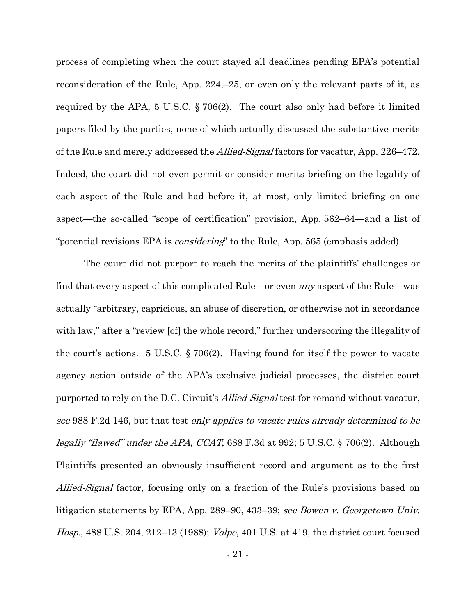process of completing when the court stayed all deadlines pending EPA's potential reconsideration of the Rule, App. 224,–25, or even only the relevant parts of it, as required by the APA, 5 U.S.C. § 706(2). The court also only had before it limited papers filed by the parties, none of which actually discussed the substantive merits of the Rule and merely addressed the *Allied-Signal* factors for vacatur, App. 226–472. Indeed, the court did not even permit or consider merits briefing on the legality of each aspect of the Rule and had before it, at most, only limited briefing on one aspect—the so-called "scope of certification" provision, App. 562–64—and a list of "potential revisions EPA is *considering*" to the Rule, App. 565 (emphasis added).

The court did not purport to reach the merits of the plaintiffs' challenges or find that every aspect of this complicated Rule—or even any aspect of the Rule—was actually "arbitrary, capricious, an abuse of discretion, or otherwise not in accordance with law," after a "review [of] the whole record," further underscoring the illegality of the court's actions. 5 U.S.C. § 706(2). Having found for itself the power to vacate agency action outside of the APA's exclusive judicial processes, the district court purported to rely on the D.C. Circuit's *Allied-Signal* test for remand without vacatur, see 988 F.2d 146, but that test only applies to vacate rules already determined to be legally "flawed" under the APA, CCAT, 688 F.3d at 992; 5 U.S.C. § 706(2). Although Plaintiffs presented an obviously insufficient record and argument as to the first Allied-Signal factor, focusing only on a fraction of the Rule's provisions based on litigation statements by EPA, App. 289–90, 433–39; see Bowen v. Georgetown Univ. Hosp., 488 U.S. 204, 212–13 (1988); Volpe, 401 U.S. at 419, the district court focused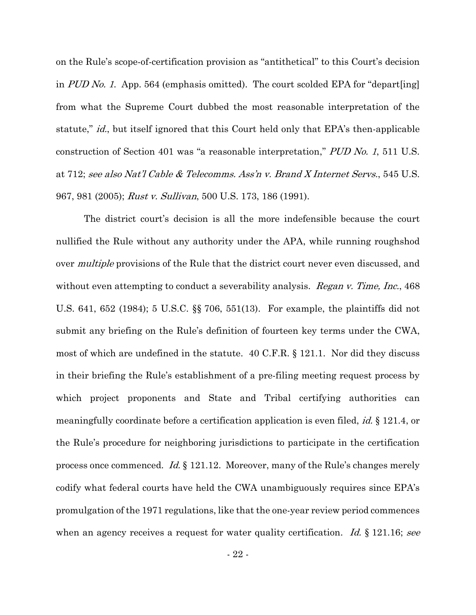on the Rule's scope-of-certification provision as "antithetical" to this Court's decision in PUD No. 1. App. 564 (emphasis omitted). The court scolded EPA for "depart[ing] from what the Supreme Court dubbed the most reasonable interpretation of the statute," *id.*, but itself ignored that this Court held only that EPA's then-applicable construction of Section 401 was "a reasonable interpretation," PUD No. <sup>1</sup>, 511 U.S. at 712; see also Nat'l Cable & Telecomms. Ass'n v. Brand X Internet Servs., 545 U.S. 967, 981 (2005); Rust v. Sullivan, 500 U.S. 173, 186 (1991).

The district court's decision is all the more indefensible because the court nullified the Rule without any authority under the APA, while running roughshod over *multiple* provisions of the Rule that the district court never even discussed, and without even attempting to conduct a severability analysis. *Regan v. Time, Inc.*, 468 U.S. 641, 652 (1984); 5 U.S.C. §§ 706, 551(13). For example, the plaintiffs did not submit any briefing on the Rule's definition of fourteen key terms under the CWA, most of which are undefined in the statute. 40 C.F.R. § 121.1. Nor did they discuss in their briefing the Rule's establishment of a pre-filing meeting request process by which project proponents and State and Tribal certifying authorities can meaningfully coordinate before a certification application is even filed, *id.* § 121.4, or the Rule's procedure for neighboring jurisdictions to participate in the certification process once commenced. Id.  $\S$  121.12. Moreover, many of the Rule's changes merely codify what federal courts have held the CWA unambiguously requires since EPA's promulgation of the 1971 regulations, like that the one-year review period commences when an agency receives a request for water quality certification. Id.  $\S$  121.16; see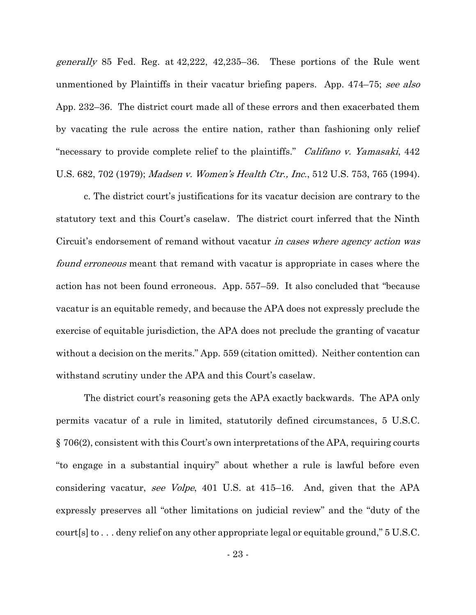generally 85 Fed. Reg. at 42,222, 42,235–36. These portions of the Rule went unmentioned by Plaintiffs in their vacatur briefing papers. App. 474–75; see also App. 232–36. The district court made all of these errors and then exacerbated them by vacating the rule across the entire nation, rather than fashioning only relief "necessary to provide complete relief to the plaintiffs." *Califano v. Yamasaki*, 442 U.S. 682, 702 (1979); Madsen v. Women's Health Ctr., Inc., 512 U.S. 753, 765 (1994).

c. The district court's justifications for its vacatur decision are contrary to the statutory text and this Court's caselaw. The district court inferred that the Ninth Circuit's endorsement of remand without vacatur *in cases where agency action was found erroneous* meant that remand with vacatur is appropriate in cases where the action has not been found erroneous. App. 557–59. It also concluded that "because vacatur is an equitable remedy, and because the APA does not expressly preclude the exercise of equitable jurisdiction, the APA does not preclude the granting of vacatur without a decision on the merits." App. 559 (citation omitted). Neither contention can withstand scrutiny under the APA and this Court's caselaw.

The district court's reasoning gets the APA exactly backwards. The APA only permits vacatur of a rule in limited, statutorily defined circumstances, 5 U.S.C. § 706(2), consistent with this Court's own interpretations of the APA, requiring courts "to engage in a substantial inquiry" about whether a rule is lawful before even considering vacatur, see Volpe, 401 U.S. at 415–16. And, given that the APA expressly preserves all "other limitations on judicial review" and the "duty of the court[s] to . . . deny relief on any other appropriate legal or equitable ground," 5 U.S.C.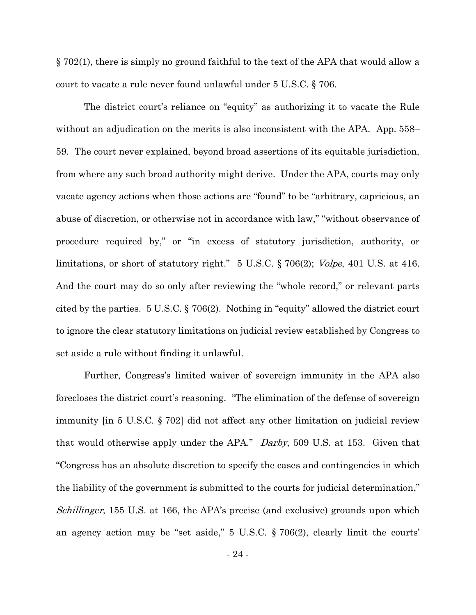§ 702(1), there is simply no ground faithful to the text of the APA that would allow a court to vacate a rule never found unlawful under 5 U.S.C. § 706.

The district court's reliance on "equity" as authorizing it to vacate the Rule without an adjudication on the merits is also inconsistent with the APA. App. 558– 59. The court never explained, beyond broad assertions of its equitable jurisdiction, from where any such broad authority might derive. Under the APA, courts may only vacate agency actions when those actions are "found" to be "arbitrary, capricious, an abuse of discretion, or otherwise not in accordance with law," "without observance of procedure required by," or "in excess of statutory jurisdiction, authority, or limitations, or short of statutory right." 5 U.S.C. § 706(2); Volpe, 401 U.S. at 416. And the court may do so only after reviewing the "whole record," or relevant parts cited by the parties. 5 U.S.C. § 706(2). Nothing in "equity" allowed the district court to ignore the clear statutory limitations on judicial review established by Congress to set aside a rule without finding it unlawful.

Further, Congress's limited waiver of sovereign immunity in the APA also forecloses the district court's reasoning. "The elimination of the defense of sovereign immunity [in 5 U.S.C. § 702] did not affect any other limitation on judicial review that would otherwise apply under the APA." Darby, 509 U.S. at 153. Given that "Congress has an absolute discretion to specify the cases and contingencies in which the liability of the government is submitted to the courts for judicial determination," Schillinger, 155 U.S. at 166, the APA's precise (and exclusive) grounds upon which an agency action may be "set aside," 5 U.S.C. § 706(2), clearly limit the courts'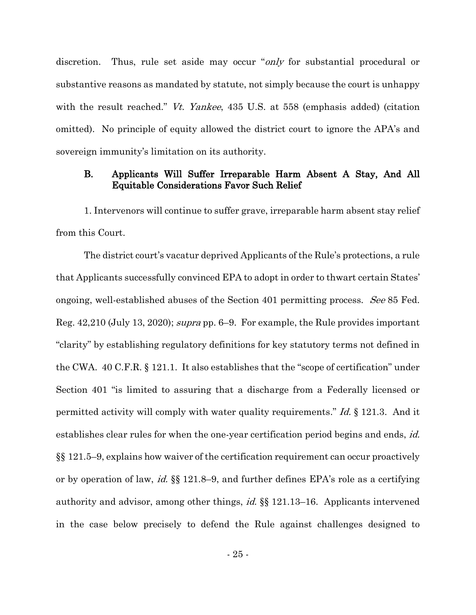discretion. Thus, rule set aside may occur "*only* for substantial procedural or substantive reasons as mandated by statute, not simply because the court is unhappy with the result reached." *Vt. Yankee*, 435 U.S. at 558 (emphasis added) (citation omitted). No principle of equity allowed the district court to ignore the APA's and sovereign immunity's limitation on its authority.

## B. Applicants Will Suffer Irreparable Harm Absent A Stay, And All Equitable Considerations Favor Such Relief

1. Intervenors will continue to suffer grave, irreparable harm absent stay relief from this Court.

The district court's vacatur deprived Applicants of the Rule's protections, a rule that Applicants successfully convinced EPA to adopt in order to thwart certain States' ongoing, well-established abuses of the Section 401 permitting process. See 85 Fed. Reg. 42,210 (July 13, 2020); supra pp. 6–9. For example, the Rule provides important "clarity" by establishing regulatory definitions for key statutory terms not defined in the CWA. 40 C.F.R. § 121.1. It also establishes that the "scope of certification" under Section 401 "is limited to assuring that a discharge from a Federally licensed or permitted activity will comply with water quality requirements." Id. § 121.3. And it establishes clear rules for when the one-year certification period begins and ends, *id.* §§ 121.5–9, explains how waiver of the certification requirement can occur proactively or by operation of law, id. §§ 121.8–9, and further defines EPA's role as a certifying authority and advisor, among other things, id. §§ 121.13–16. Applicants intervened in the case below precisely to defend the Rule against challenges designed to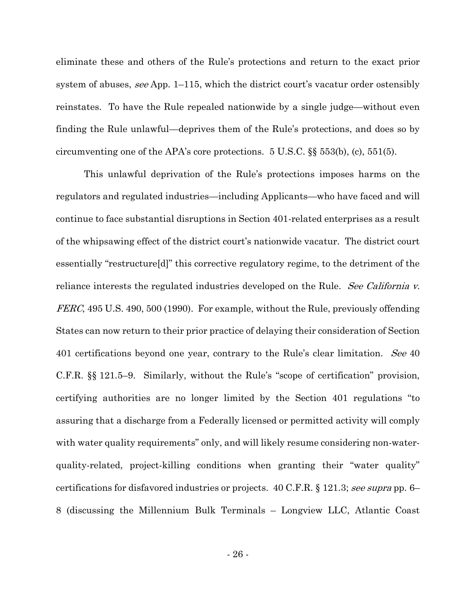eliminate these and others of the Rule's protections and return to the exact prior system of abuses, see App. 1–115, which the district court's vacatur order ostensibly reinstates. To have the Rule repealed nationwide by a single judge—without even finding the Rule unlawful—deprives them of the Rule's protections, and does so by circumventing one of the APA's core protections.  $5 \text{ U.S.C.}$  §§  $553(b)$ , (c),  $551(5)$ .

This unlawful deprivation of the Rule's protections imposes harms on the regulators and regulated industries—including Applicants—who have faced and will continue to face substantial disruptions in Section 401-related enterprises as a result of the whipsawing effect of the district court's nationwide vacatur. The district court essentially "restructure[d]" this corrective regulatory regime, to the detriment of the reliance interests the regulated industries developed on the Rule. See California v. FERC, 495 U.S. 490, 500 (1990). For example, without the Rule, previously offending States can now return to their prior practice of delaying their consideration of Section 401 certifications beyond one year, contrary to the Rule's clear limitation. See 40 C.F.R. §§ 121.5–9. Similarly, without the Rule's "scope of certification" provision, certifying authorities are no longer limited by the Section 401 regulations "to assuring that a discharge from a Federally licensed or permitted activity will comply with water quality requirements" only, and will likely resume considering non-waterquality-related, project-killing conditions when granting their "water quality" certifications for disfavored industries or projects. 40 C.F.R. § 121.3; see supra pp. 6– 8 (discussing the Millennium Bulk Terminals – Longview LLC, Atlantic Coast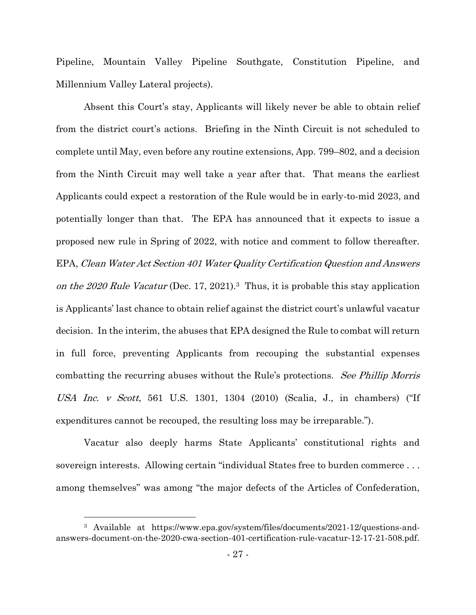Pipeline, Mountain Valley Pipeline Southgate, Constitution Pipeline, and Millennium Valley Lateral projects).

Absent this Court's stay, Applicants will likely never be able to obtain relief from the district court's actions. Briefing in the Ninth Circuit is not scheduled to complete until May, even before any routine extensions, App. 799–802, and a decision from the Ninth Circuit may well take a year after that. That means the earliest Applicants could expect a restoration of the Rule would be in early-to-mid 2023, and potentially longer than that. The EPA has announced that it expects to issue a proposed new rule in Spring of 2022, with notice and comment to follow thereafter. EPA, Clean Water Act Section 401 Water Quality Certification Question and Answers on the 2020 Rule Vacatur (Dec. 17, 2021).<sup>3</sup> Thus, it is probable this stay application is Applicants' last chance to obtain relief against the district court's unlawful vacatur decision. In the interim, the abuses that EPA designed the Rule to combat will return in full force, preventing Applicants from recouping the substantial expenses combatting the recurring abuses without the Rule's protections. See Phillip Morris USA Inc. v Scott, 561 U.S. 1301, 1304 (2010) (Scalia, J., in chambers) ("If expenditures cannot be recouped, the resulting loss may be irreparable.").

Vacatur also deeply harms State Applicants' constitutional rights and sovereign interests. Allowing certain "individual States free to burden commerce . . . among themselves" was among "the major defects of the Articles of Confederation,

<sup>3</sup> Available at https://www.epa.gov/system/files/documents/2021-12/questions-andanswers-document-on-the-2020-cwa-section-401-certification-rule-vacatur-12-17-21-508.pdf.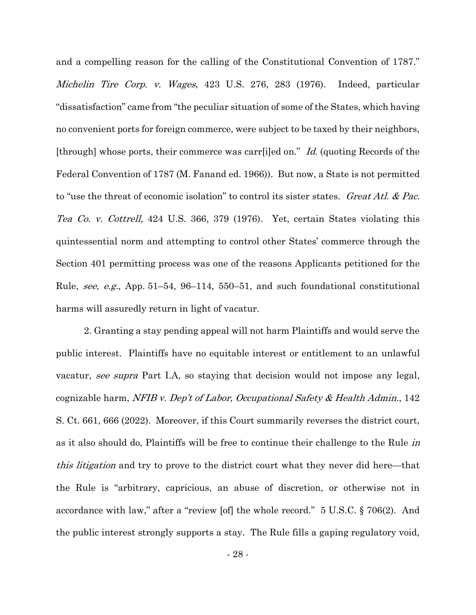and a compelling reason for the calling of the Constitutional Convention of 1787." Michelin Tire Corp. v. Wages, 423 U.S. 276, 283 (1976). Indeed, particular "dissatisfaction" came from "the peculiar situation of some of the States, which having no convenient ports for foreign commerce, were subject to be taxed by their neighbors, [through] whose ports, their commerce was carr[i]ed on." Id. (quoting Records of the Federal Convention of 1787 (M. Fanand ed. 1966)). But now, a State is not permitted to "use the threat of economic isolation" to control its sister states. Great Atl. & Pac. Tea Co. v. Cottrell, 424 U.S. 366, 379 (1976). Yet, certain States violating this quintessential norm and attempting to control other States' commerce through the Section 401 permitting process was one of the reasons Applicants petitioned for the Rule, see, e.g., App. 51–54, 96–114, 550–51, and such foundational constitutional harms will assuredly return in light of vacatur.

2. Granting a stay pending appeal will not harm Plaintiffs and would serve the public interest. Plaintiffs have no equitable interest or entitlement to an unlawful vacatur, see supra Part I.A, so staying that decision would not impose any legal, cognizable harm, NFIB v. Dep't of Labor, Occupational Safety & Health Admin., 142 S. Ct. 661, 666 (2022). Moreover, if this Court summarily reverses the district court, as it also should do, Plaintiffs will be free to continue their challenge to the Rule in this litigation and try to prove to the district court what they never did here—that the Rule is "arbitrary, capricious, an abuse of discretion, or otherwise not in accordance with law," after a "review [of] the whole record." 5 U.S.C. § 706(2). And the public interest strongly supports a stay. The Rule fills a gaping regulatory void,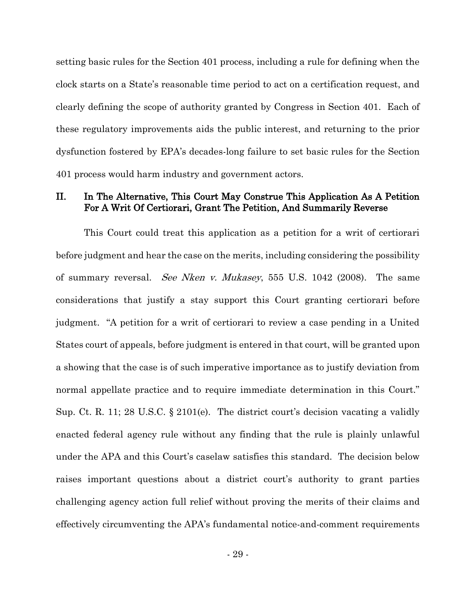setting basic rules for the Section 401 process, including a rule for defining when the clock starts on a State's reasonable time period to act on a certification request, and clearly defining the scope of authority granted by Congress in Section 401. Each of these regulatory improvements aids the public interest, and returning to the prior dysfunction fostered by EPA's decades-long failure to set basic rules for the Section 401 process would harm industry and government actors.

## II. In The Alternative, This Court May Construe This Application As A Petition For A Writ Of Certiorari, Grant The Petition, And Summarily Reverse

This Court could treat this application as a petition for a writ of certiorari before judgment and hear the case on the merits, including considering the possibility of summary reversal. See Nken v. Mukasey, 555 U.S. 1042 (2008). The same considerations that justify a stay support this Court granting certiorari before judgment. "A petition for a writ of certiorari to review a case pending in a United States court of appeals, before judgment is entered in that court, will be granted upon a showing that the case is of such imperative importance as to justify deviation from normal appellate practice and to require immediate determination in this Court." Sup. Ct. R. 11; 28 U.S.C. § 2101(e). The district court's decision vacating a validly enacted federal agency rule without any finding that the rule is plainly unlawful under the APA and this Court's caselaw satisfies this standard. The decision below raises important questions about a district court's authority to grant parties challenging agency action full relief without proving the merits of their claims and effectively circumventing the APA's fundamental notice-and-comment requirements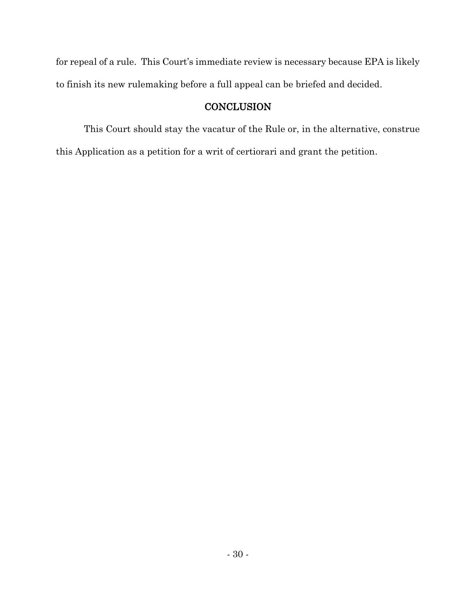for repeal of a rule. This Court's immediate review is necessary because EPA is likely to finish its new rulemaking before a full appeal can be briefed and decided.

## **CONCLUSION**

This Court should stay the vacatur of the Rule or, in the alternative, construe this Application as a petition for a writ of certiorari and grant the petition.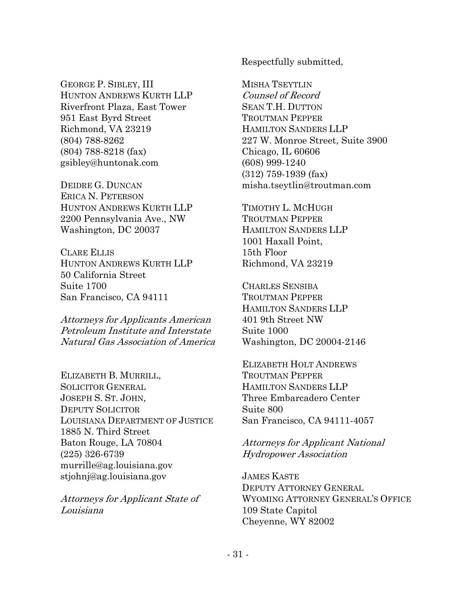GEORGE P. SIBLEY, III HUNTON ANDREWS KURTH LLP Riverfront Plaza, East Tower 951 East Byrd Street Richmond, VA 23219 (804) 788-8262 (804) 788-8218 (fax) gsibley@huntonak.com

DEIDRE G. DUNCAN ERICA N. PETERSON HUNTON ANDREWS KURTH LLP 2200 Pennsylvania Ave., NW Washington, DC 20037

CLARE ELLIS HUNTON ANDREWS KURTH LLP 50 California Street Suite 1700 San Francisco, CA 94111

Attorneys for Applicants American Petroleum Institute and Interstate Natural Gas Association of America

ELIZABETH B. MURRILL, SOLICITOR GENERAL JOSEPH S. ST. JOHN, DEPUTY SOLICITOR LOUISIANA DEPARTMENT OF JUSTICE 1885 N. Third Street Baton Rouge, LA 70804 (225) 326-6739 murrille@ag.louisiana.gov stjohnj@ag.louisiana.gov

Attorneys for Applicant State of Louisiana

Respectfully submitted,

MISHA TSEYTLIN Counsel of Record SEAN T.H. DUTTON TROUTMAN PEPPER HAMILTON SANDERS LLP 227 W. Monroe Street, Suite 3900 Chicago, IL 60606 (608) 999-1240 (312) 759-1939 (fax) misha.tseytlin@troutman.com

TIMOTHY L. MCHUGH TROUTMAN PEPPER HAMILTON SANDERS LLP 1001 Haxall Point, 15th Floor Richmond, VA 23219

CHARLES SENSIBA TROUTMAN PEPPER HAMILTON SANDERS LLP 401 9th Street NW Suite 1000 Washington, DC 20004-2146

ELIZABETH HOLT ANDREWS TROUTMAN PEPPER HAMILTON SANDERS LLP Three Embarcadero Center Suite 800 San Francisco, CA 94111-4057

Attorneys for Applicant National Hydropower Association

JAMES KASTE DEPUTY ATTORNEY GENERAL WYOMING ATTORNEY GENERAL'S OFFICE 109 State Capitol Cheyenne, WY 82002